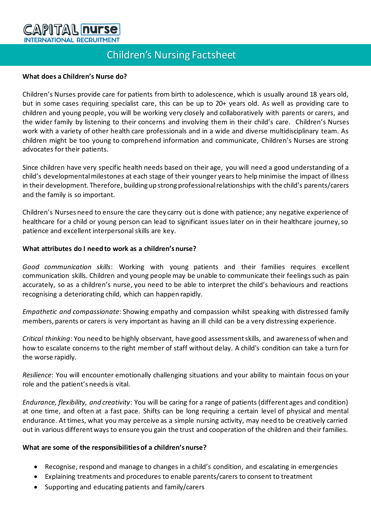# **CAPITAL nurse INTERNATIONAL RECRUITMENT**

# Children's Nursing Factsheet

#### **What does a Children's Nurse do?**

Children's Nurses provide care for patients from birth to adolescence, which is usually around 18 years old, but in some cases requiring specialist care, this can be up to 20+ years old. As well as providing care to children and young people, you will be working very closely and collaboratively with parents or carers, and the wider family by listening to their concerns and involving them in their child's care. Children's Nurses work with a variety of other health care professionals and in a wide and diverse multidisciplinary team. As children might be too young to comprehend information and communicate, Children's Nurses are strong advocates for their patients.

Since children have very specific health needs based on their age, you will need a good understanding of a child's developmentalmilestones at each stage of their younger years to helpminimise the impact of illness in their development. Therefore, building up strong professional relationships with the child's parents/carers and the family is so important.

Children's Nurses need to ensure the care they carry out is done with patience; any negative experience of healthcare for a child or young person can lead to significant issues later on in their healthcare journey, so patience and excellent interpersonal skills are key.

#### **What attributes do I need to work as a children's nurse?**

*Good communication skills*: Working with young patients and their families requires excellent communication skills. Children and young people may be unable to communicate their feelings such as pain accurately, so as a children's nurse, you need to be able to interpret the child's behaviours and reactions recognising a deteriorating child, which can happen rapidly.

*Empathetic and compassionate*: Showing empathy and compassion whilst speaking with distressed family members, parents or carers is very important as having an ill child can be a very distressing experience.

*Critical thinking*: You need to be highly observant, have good assessment skills, and awareness of when and how to escalate concerns to the right member of staff without delay. A child's condition can take a turn for the worse rapidly.

*Resilience*: You will encounter emotionally challenging situations and your ability to maintain focus on your role and the patient's needs is vital.

*Endurance, flexibility, and creativity*: You will be caring for a range of patients (different ages and condition) at one time, and often at a fast pace. Shifts can be long requiring a certain level of physical and mental endurance. At times, what you may perceive as a simple nursing activity, may need to be creatively carried out in various different ways to ensure you gain the trust and cooperation of the children and their families.

#### **What are some of the responsibilities of a children's nurse?**

- Recognise, respond and manage to changes in a child's condition, and escalating in emergencies
- Explaining treatments and procedures to enable parents/carers to consent to treatment
- Supporting and educating patients and family/carers